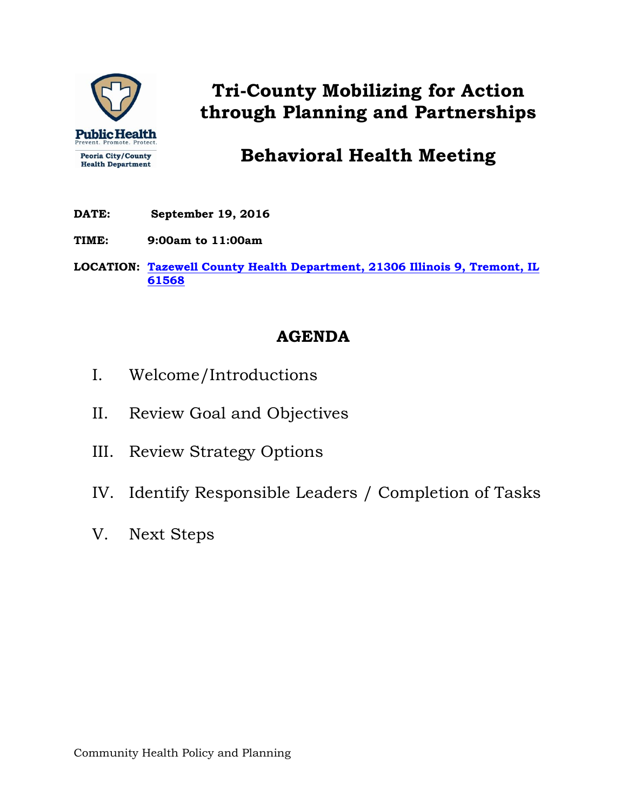

# **Tri-County Mobilizing for Action through Planning and Partnerships**

## **Behavioral Health Meeting**

- **DATE: September 19, 2016**
- **TIME: 9:00am to 11:00am**

**LOCATION: [Tazewell County Health Department, 21306 Illinois 9, Tremont, IL](http://www.tazewellhealth.org/)  [61568](http://www.tazewellhealth.org/)**

### **AGENDA**

- I. Welcome/Introductions
- II. Review Goal and Objectives
- III. Review Strategy Options
- IV. Identify Responsible Leaders / Completion of Tasks
- V. Next Steps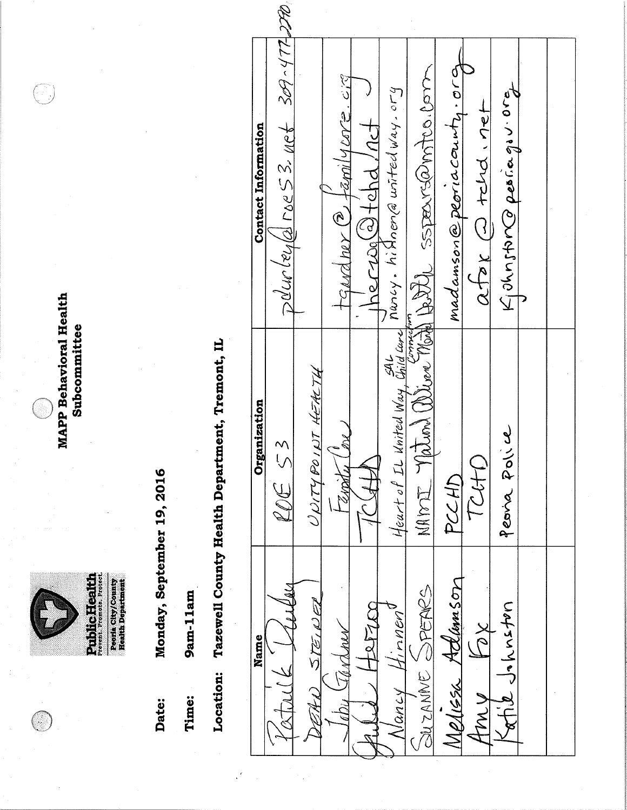

**MAPP Behavioral Health** Subcommittee

91)<br>19

Monday, September 19, 2016 Date:

9am-11am Time:

Tazewell County Health Department, Tremont, IL Location:

 $D\ell$ urieu $|a|$ roes 3. net 309-477-270 madamson@peoriacounty.org bith ssperremmtes. Com  $tan(4\,002.\,c)$ Kjohnston periorgov.org Mancy. hi Anen a united way. ory  $\frac{1}{2}$   $\frac{1}{2}$   $\frac{1}{2}$   $\frac{1}{2}$  $\frac{1}{10}$  creases that **Contact Information** taudner 2.  $\frac{1}{2}$ Heart of IL United Way, Child Care MAPOI Vation Brian UNITYPOINT HEALTH Organization Peana Police y<br>M  $252$ TOHD PCCHD Fanàn Melissa Adlumson BUZANNE SPETIES  $515102$ outswyer Lefzco  $H$ , nnen'  $\overleftrightarrow{\mathbb{Z}}$ Jardmer Name Nancy 7. A 1) AMY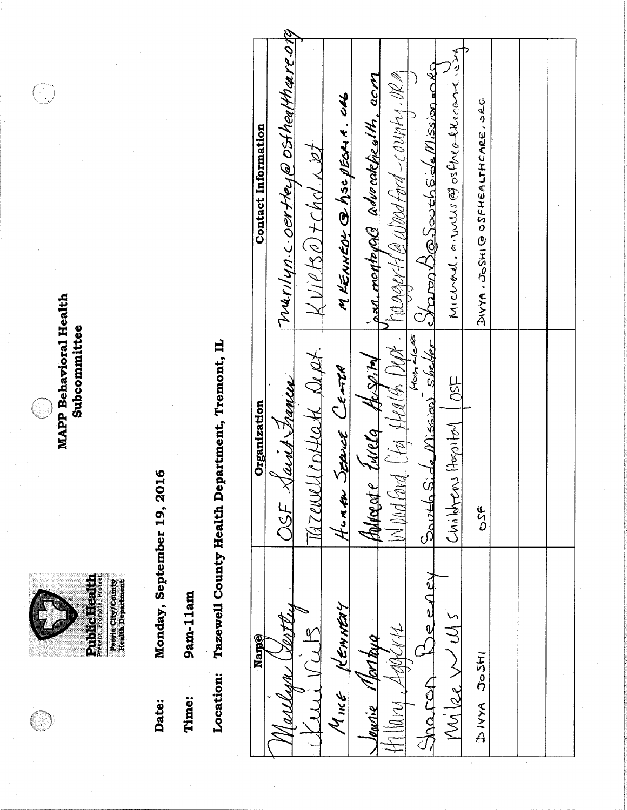

**MAPP Behavioral Health** Subcommittee

Ŧ.

Monday, September 19, 2016 Date:

9am-11am Time:

Tazewell County Health Department, Tremont, IL Location:

Vurilyn.c.oertley@ostherlthare.otg Michael. in wiss @ osfrequencent. Sin Staron Bossuth Side Mission =049  $P_0$   $\alpha$  and  $P_1$   $\alpha$   $\alpha$   $\beta$   $\beta$   $\alpha$   $\beta$   $\beta$   $\gamma$   $\alpha$   $\beta$   $\alpha$   $\beta$   $\beta$   $\beta$   $\beta$ pan.montorale advecatebralth.com M KENNEDY @ hsc BEDRIA. CAL DIVYA, JOSHI @ OSFHEALTHCARE, ORG **Contact Information**  $k$  viets a + chd  $x$  of South Side Mission shelfer  $H\alpha h \neq c \leq$ TAZENVULLEDHOH Dept.  $\frac{\hbar\omega_{\mathrm{SM}}}{\hbar}$ HUMAN SERVICE CENTRA  $|OSE|$ OSF Saint Trances Organization bolvagte turela Christers Hogstal **USE** Jeeney  $M$ ine Kewitay  $M\sqrt{2e}$   $M\sqrt{15}$ TH N H Morthua Name INSON XXXA Sharan **MMI** Journie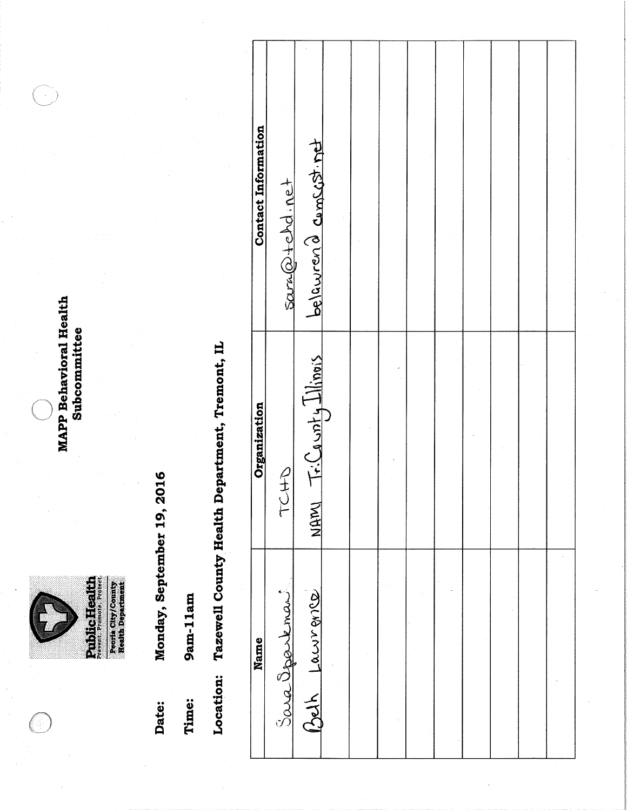

**MAPP Behavioral Health** Subcommittee

 $\left\langle \begin{array}{c} \lambda \\ \lambda \end{array} \right\rangle$ 

Monday, September 19, 2016 Date:

9am-11am Time: Location: Tazewell County Health Department, Tremont, IL

| <b>Contact Information</b> | sara@tchd.net | belawren a comscist. net   |  |  |  |  |  |
|----------------------------|---------------|----------------------------|--|--|--|--|--|
| Organization               | TUHD          | TriCawnty Illinois<br>NAMI |  |  |  |  |  |
| Name                       | Sara Oppenent | Beth Lawrence              |  |  |  |  |  |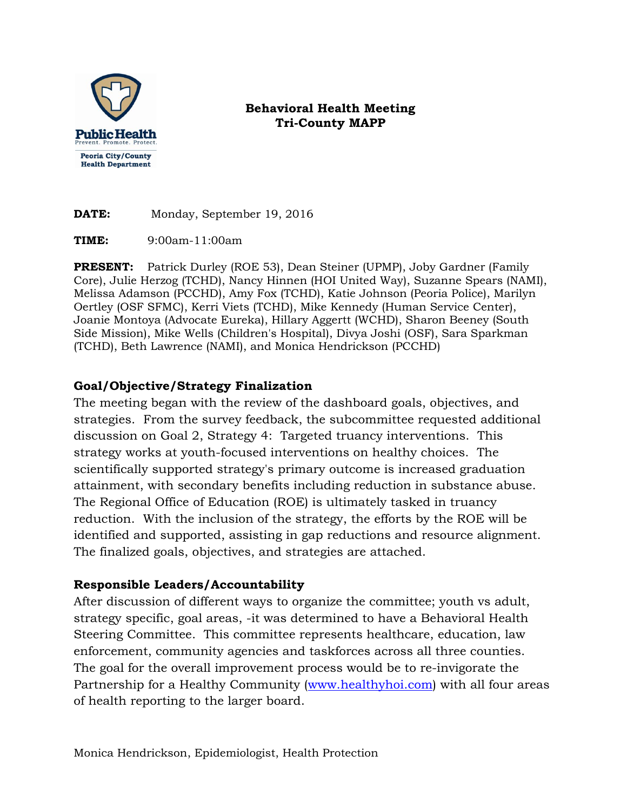

#### **Behavioral Health Meeting Tri-County MAPP**

**DATE:** Monday, September 19, 2016

**TIME:** 9:00am-11:00am

**PRESENT:** Patrick Durley (ROE 53), Dean Steiner (UPMP), Joby Gardner (Family Core), Julie Herzog (TCHD), Nancy Hinnen (HOI United Way), Suzanne Spears (NAMI), Melissa Adamson (PCCHD), Amy Fox (TCHD), Katie Johnson (Peoria Police), Marilyn Oertley (OSF SFMC), Kerri Viets (TCHD), Mike Kennedy (Human Service Center), Joanie Montoya (Advocate Eureka), Hillary Aggertt (WCHD), Sharon Beeney (South Side Mission), Mike Wells (Children's Hospital), Divya Joshi (OSF), Sara Sparkman (TCHD), Beth Lawrence (NAMI), and Monica Hendrickson (PCCHD)

#### **Goal/Objective/Strategy Finalization**

The meeting began with the review of the dashboard goals, objectives, and strategies. From the survey feedback, the subcommittee requested additional discussion on Goal 2, Strategy 4: Targeted truancy interventions. This strategy works at youth-focused interventions on healthy choices. The scientifically supported strategy's primary outcome is increased graduation attainment, with secondary benefits including reduction in substance abuse. The Regional Office of Education (ROE) is ultimately tasked in truancy reduction. With the inclusion of the strategy, the efforts by the ROE will be identified and supported, assisting in gap reductions and resource alignment. The finalized goals, objectives, and strategies are attached.

#### **Responsible Leaders/Accountability**

After discussion of different ways to organize the committee; youth vs adult, strategy specific, goal areas, -it was determined to have a Behavioral Health Steering Committee. This committee represents healthcare, education, law enforcement, community agencies and taskforces across all three counties. The goal for the overall improvement process would be to re-invigorate the Partnership for a Healthy Community [\(www.healthyhoi.com\)](http://www.healthyhoi.com/) with all four areas of health reporting to the larger board.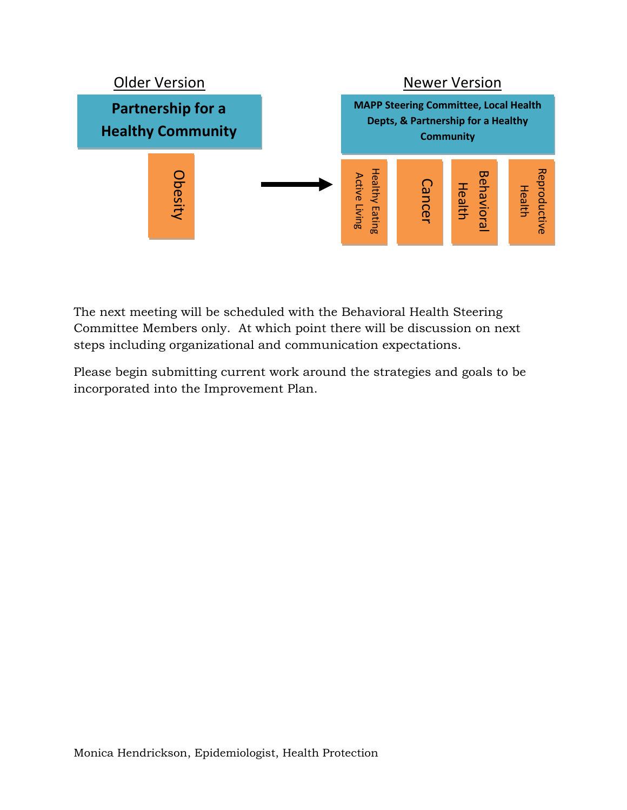

The next meeting will be scheduled with the Behavioral Health Steering Committee Members only. At which point there will be discussion on next steps including organizational and communication expectations.

Please begin submitting current work around the strategies and goals to be incorporated into the Improvement Plan.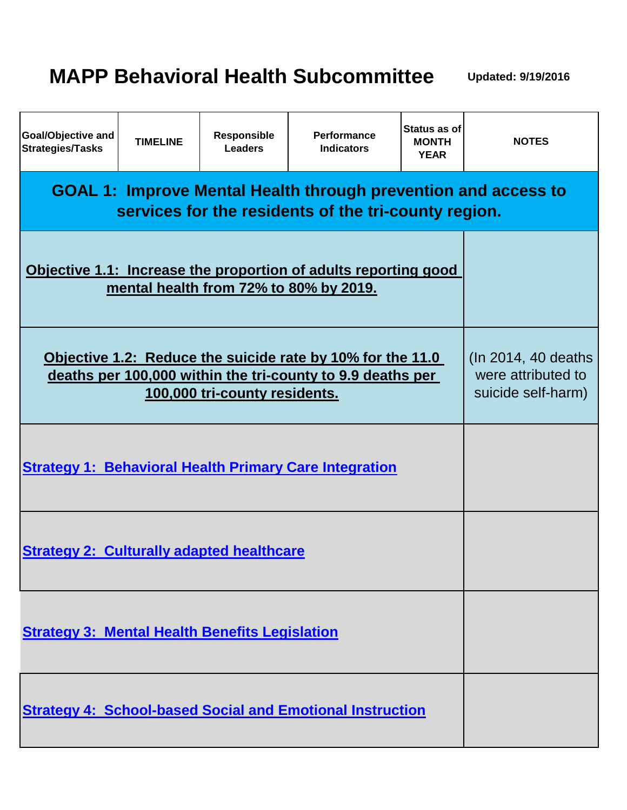# **MAPP Behavioral Health Subcommittee**

**Updated: 9/19/2016**

| Goal/Objective and<br><b>Strategies/Tasks</b>                                                                                 | <b>TIMELINE</b>                                                  | Responsible<br><b>Leaders</b> | <b>Performance</b><br><b>Indicators</b>                          | Status as of<br><b>MONTH</b><br><b>YEAR</b> | <b>NOTES</b> |  |  |  |  |
|-------------------------------------------------------------------------------------------------------------------------------|------------------------------------------------------------------|-------------------------------|------------------------------------------------------------------|---------------------------------------------|--------------|--|--|--|--|
| <b>GOAL 1: Improve Mental Health through prevention and access to</b><br>services for the residents of the tri-county region. |                                                                  |                               |                                                                  |                                             |              |  |  |  |  |
| Objective 1.1: Increase the proportion of adults reporting good<br>mental health from 72% to 80% by 2019.                     |                                                                  |                               |                                                                  |                                             |              |  |  |  |  |
| Objective 1.2: Reduce the suicide rate by 10% for the 11.0<br>deaths per 100,000 within the tri-county to 9.9 deaths per      | (In 2014, 40 deaths)<br>were attributed to<br>suicide self-harm) |                               |                                                                  |                                             |              |  |  |  |  |
|                                                                                                                               |                                                                  |                               | <b>Strategy 1: Behavioral Health Primary Care Integration</b>    |                                             |              |  |  |  |  |
| <b>Strategy 2: Culturally adapted healthcare</b>                                                                              |                                                                  |                               |                                                                  |                                             |              |  |  |  |  |
| <b>Strategy 3: Mental Health Benefits Legislation</b>                                                                         |                                                                  |                               |                                                                  |                                             |              |  |  |  |  |
|                                                                                                                               |                                                                  |                               | <b>Strategy 4: School-based Social and Emotional Instruction</b> |                                             |              |  |  |  |  |